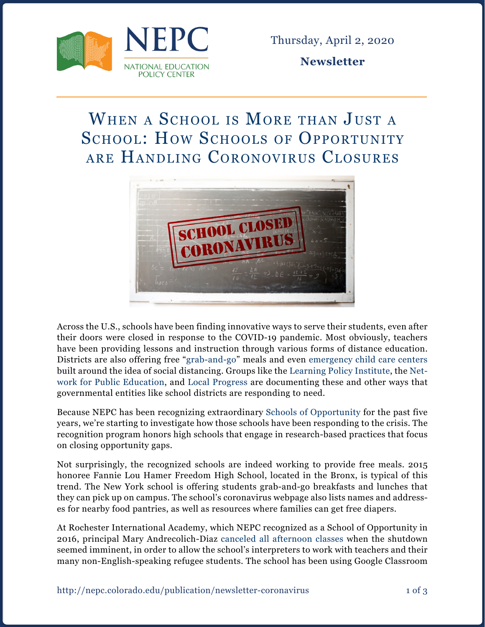

Thursday, April 2, 2020

**Newsletter**

## WHEN A SCHOOL IS MORE THAN JUST A SCHOOL: HOW SCHOOLS OF OPPORTUNITY are Handling Coronovirus Closures



Across the U.S., schools have been finding innovative ways to serve their students, even after their doors were closed in response to the COVID-19 pandemic. Most obviously, teachers have been providing lessons and instruction through various forms of distance education. Districts are also offering free ["grab-and-go"](https://www.ocps.net/cms/One.aspx?portalId=54703&pageId=1404484) meals and even [emergency child care centers](https://www.nytimes.com/2020/03/17/nyregion/coronavirus-new-york-update.html) built around the idea of social distancing. Groups like the [Learning Policy Institute,](https://learningpolicyinstitute.org/issue/covid-19-resources) the [Net](https://networkforpubliceducation.org/public-schools-supporting-americas-children-in-a-time-of-crisis/)[work for Public Education,](https://networkforpubliceducation.org/public-schools-supporting-americas-children-in-a-time-of-crisis/) and [Local Progress](https://localprogress.org/coronavirus/) are documenting these and other ways that governmental entities like school districts are responding to need.

Because NEPC has been recognizing extraordinary [Schools of Opportunity](http://schoolsofopportunity.org/) for the past five years, we're starting to investigate how those schools have been responding to the crisis. The recognition program honors high schools that engage in research-based practices that focus on closing opportunity gaps.

Not surprisingly, the recognized schools are indeed working to provide free meals. 2015 honoree Fannie Lou Hamer Freedom High School, located in the Bronx, is typical of this trend. The New York school is offering students grab-and-go breakfasts and lunches that they can pick up on campus. The school's coronavirus webpage also lists names and addresses for nearby food pantries, as well as resources where families can get free diapers.

At Rochester International Academy, which NEPC recognized as a School of Opportunity in 2016, principal Mary Andrecolich-Diaz [canceled all afternoon classes](https://www.democratandchronicle.com/story/news/2020/03/20/refugees-coronavirus-non-english-rochester-international-academy-catholic-family-center/2883113001/) when the shutdown seemed imminent, in order to allow the school's interpreters to work with teachers and their many non-English-speaking refugee students. The school has been using Google Classroom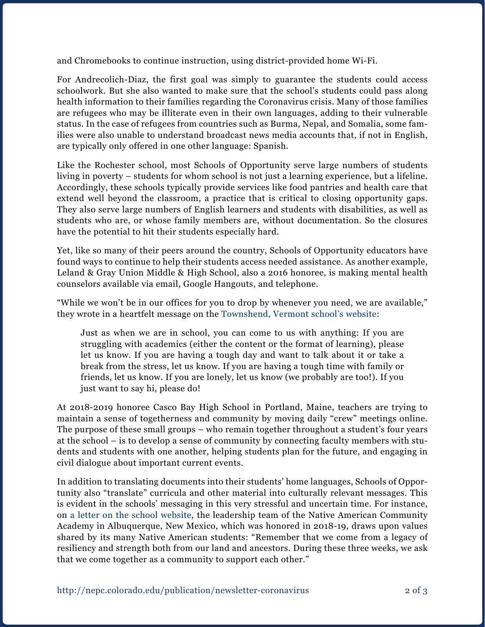and Chromebooks to continue instruction, using district-provided home Wi-Fi.

For Andrecolich-Diaz, the first goal was simply to guarantee the students could access schoolwork. But she also wanted to make sure that the school's students could pass along health information to their families regarding the Coronavirus crisis. Many of those families are refugees who may be illiterate even in their own languages, adding to their vulnerable status. In the case of refugees from countries such as Burma, Nepal, and Somalia, some families were also unable to understand broadcast news media accounts that, if not in English, are typically only offered in one other language: Spanish.

Like the Rochester school, most Schools of Opportunity serve large numbers of students living in poverty – students for whom school is not just a learning experience, but a lifeline. Accordingly, these schools typically provide services like food pantries and health care that extend well beyond the classroom, a practice that is critical to closing opportunity gaps. They also serve large numbers of English learners and students with disabilities, as well as students who are, or whose family members are, without documentation. So the closures have the potential to hit their students especially hard.

Yet, like so many of their peers around the country, Schools of Opportunity educators have found ways to continue to help their students access needed assistance. As another example, Leland & Gray Union Middle & High School, also a 2016 honoree, is making mental health counselors available via email, Google Hangouts, and telephone.

"While we won't be in our offices for you to drop by whenever you need, we are available," they wrote in a heartfelt message on the [Townshend, Vermont school's website:](https://www.lelandandgray.org/)

Just as when we are in school, you can come to us with anything: If you are struggling with academics (either the content or the format of learning), please let us know. If you are having a tough day and want to talk about it or take a break from the stress, let us know. If you are having a tough time with family or friends, let us know. If you are lonely, let us know (we probably are too!). If you just want to say hi, please do!

At 2018-2019 honoree Casco Bay High School in Portland, Maine, teachers are trying to maintain a sense of togetherness and community by moving daily "crew" meetings online. The purpose of these small groups – who remain together throughout a student's four years at the school – is to develop a sense of community by connecting faculty members with students and students with one another, helping students plan for the future, and engaging in civil dialogue about important current events.

In addition to translating documents into their students' home languages, Schools of Opportunity also "translate" curricula and other material into culturally relevant messages. This is evident in the schools' messaging in this very stressful and uncertain time. For instance, on [a letter on the school website,](https://4.files.edl.io/39b6/03/13/20/044416-8cb31636-0c3b-40b0-ac9a-0096748e8fa5.pdf) the leadership team of the Native American Community Academy in Albuquerque, New Mexico, which was honored in 2018-19, draws upon values shared by its many Native American students: "Remember that we come from a legacy of resiliency and strength both from our land and ancestors. During these three weeks, we ask that we come together as a community to support each other."